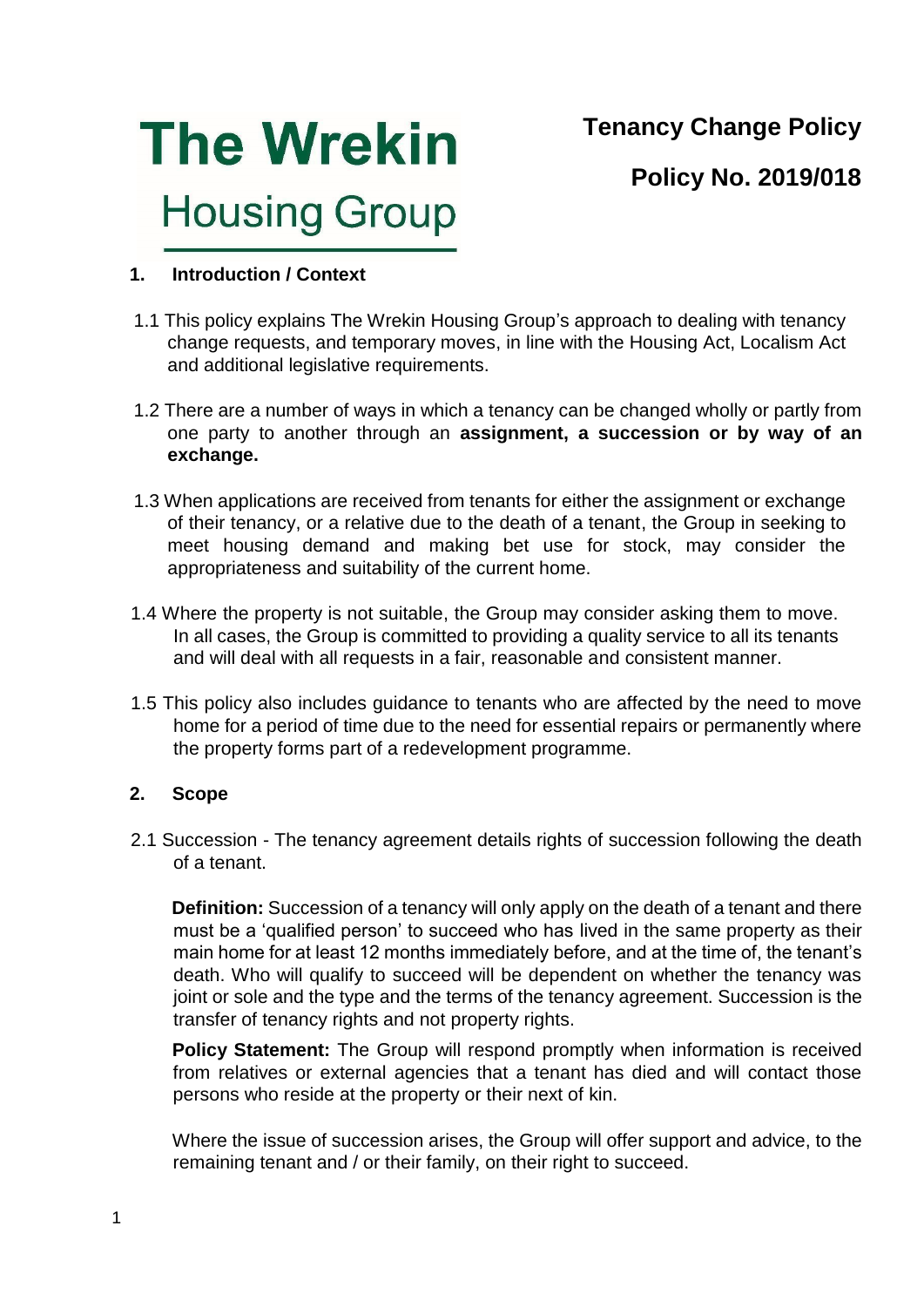**Tenancy Change Policy** 



**Policy No. 2019/018** 

### **1. Introduction / Context**

- 1.1 This policy explains The Wrekin Housing Group's approach to dealing with tenancy change requests, and temporary moves, in line with the Housing Act, Localism Act and additional legislative requirements.
- 1.2 There are a number of ways in which a tenancy can be changed wholly or partly from one party to another through an **assignment, a succession or by way of an exchange.**
- 1.3 When applications are received from tenants for either the assignment or exchange of their tenancy, or a relative due to the death of a tenant, the Group in seeking to meet housing demand and making bet use for stock, may consider the appropriateness and suitability of the current home.
- 1.4 Where the property is not suitable, the Group may consider asking them to move. In all cases, the Group is committed to providing a quality service to all its tenants and will deal with all requests in a fair, reasonable and consistent manner.
- 1.5 This policy also includes guidance to tenants who are affected by the need to move home for a period of time due to the need for essential repairs or permanently where the property forms part of a redevelopment programme.

### **2. Scope**

2.1 Succession - The tenancy agreement details rights of succession following the death of a tenant.

**Definition:** Succession of a tenancy will only apply on the death of a tenant and there must be a 'qualified person' to succeed who has lived in the same property as their main home for at least 12 months immediately before, and at the time of, the tenant's death. Who will qualify to succeed will be dependent on whether the tenancy was joint or sole and the type and the terms of the tenancy agreement. Succession is the transfer of tenancy rights and not property rights.

**Policy Statement:** The Group will respond promptly when information is received from relatives or external agencies that a tenant has died and will contact those persons who reside at the property or their next of kin.

Where the issue of succession arises, the Group will offer support and advice, to the remaining tenant and / or their family, on their right to succeed.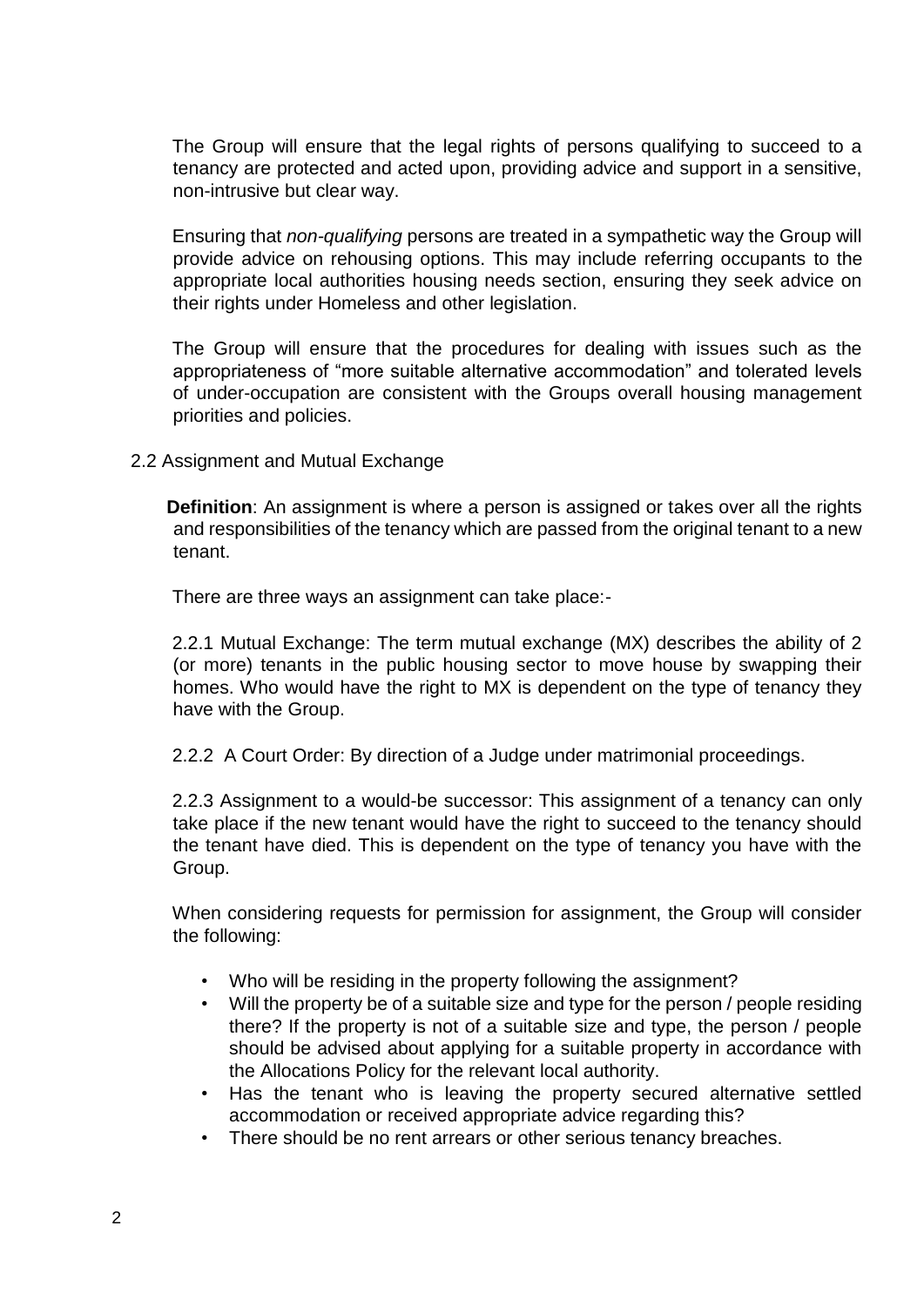The Group will ensure that the legal rights of persons qualifying to succeed to a tenancy are protected and acted upon, providing advice and support in a sensitive, non-intrusive but clear way.

Ensuring that *non-qualifying* persons are treated in a sympathetic way the Group will provide advice on rehousing options. This may include referring occupants to the appropriate local authorities housing needs section, ensuring they seek advice on their rights under Homeless and other legislation.

The Group will ensure that the procedures for dealing with issues such as the appropriateness of "more suitable alternative accommodation" and tolerated levels of under-occupation are consistent with the Groups overall housing management priorities and policies.

2.2 Assignment and Mutual Exchange

**Definition**: An assignment is where a person is assigned or takes over all the rights and responsibilities of the tenancy which are passed from the original tenant to a new tenant.

There are three ways an assignment can take place:-

2.2.1 Mutual Exchange: The term mutual exchange (MX) describes the ability of 2 (or more) tenants in the public housing sector to move house by swapping their homes. Who would have the right to MX is dependent on the type of tenancy they have with the Group.

2.2.2 A Court Order: By direction of a Judge under matrimonial proceedings.

2.2.3 Assignment to a would-be successor: This assignment of a tenancy can only take place if the new tenant would have the right to succeed to the tenancy should the tenant have died. This is dependent on the type of tenancy you have with the Group.

When considering requests for permission for assignment, the Group will consider the following:

- Who will be residing in the property following the assignment?
- Will the property be of a suitable size and type for the person / people residing there? If the property is not of a suitable size and type, the person / people should be advised about applying for a suitable property in accordance with the Allocations Policy for the relevant local authority.
- Has the tenant who is leaving the property secured alternative settled accommodation or received appropriate advice regarding this?
- There should be no rent arrears or other serious tenancy breaches.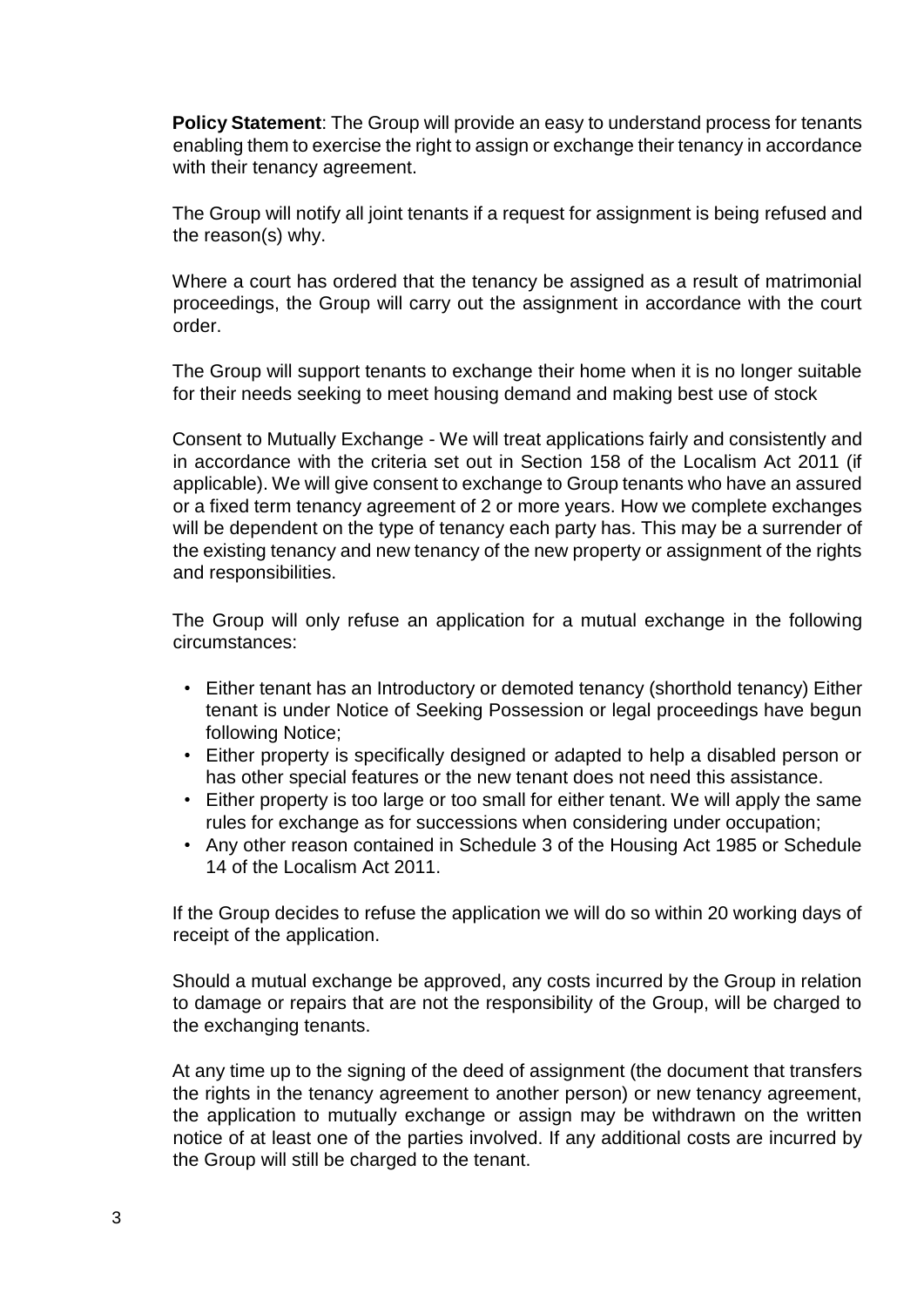**Policy Statement**: The Group will provide an easy to understand process for tenants enabling them to exercise the right to assign or exchange their tenancy in accordance with their tenancy agreement.

The Group will notify all joint tenants if a request for assignment is being refused and the reason(s) why.

Where a court has ordered that the tenancy be assigned as a result of matrimonial proceedings, the Group will carry out the assignment in accordance with the court order.

The Group will support tenants to exchange their home when it is no longer suitable for their needs seeking to meet housing demand and making best use of stock

Consent to Mutually Exchange - We will treat applications fairly and consistently and in accordance with the criteria set out in Section 158 of the Localism Act 2011 (if applicable). We will give consent to exchange to Group tenants who have an assured or a fixed term tenancy agreement of 2 or more years. How we complete exchanges will be dependent on the type of tenancy each party has. This may be a surrender of the existing tenancy and new tenancy of the new property or assignment of the rights and responsibilities.

The Group will only refuse an application for a mutual exchange in the following circumstances:

- Either tenant has an Introductory or demoted tenancy (shorthold tenancy) Either tenant is under Notice of Seeking Possession or legal proceedings have begun following Notice;
- Either property is specifically designed or adapted to help a disabled person or has other special features or the new tenant does not need this assistance.
- Either property is too large or too small for either tenant. We will apply the same rules for exchange as for successions when considering under occupation;
- Any other reason contained in Schedule 3 of the Housing Act 1985 or Schedule 14 of the Localism Act 2011.

If the Group decides to refuse the application we will do so within 20 working days of receipt of the application.

Should a mutual exchange be approved, any costs incurred by the Group in relation to damage or repairs that are not the responsibility of the Group, will be charged to the exchanging tenants.

At any time up to the signing of the deed of assignment (the document that transfers the rights in the tenancy agreement to another person) or new tenancy agreement, the application to mutually exchange or assign may be withdrawn on the written notice of at least one of the parties involved. If any additional costs are incurred by the Group will still be charged to the tenant.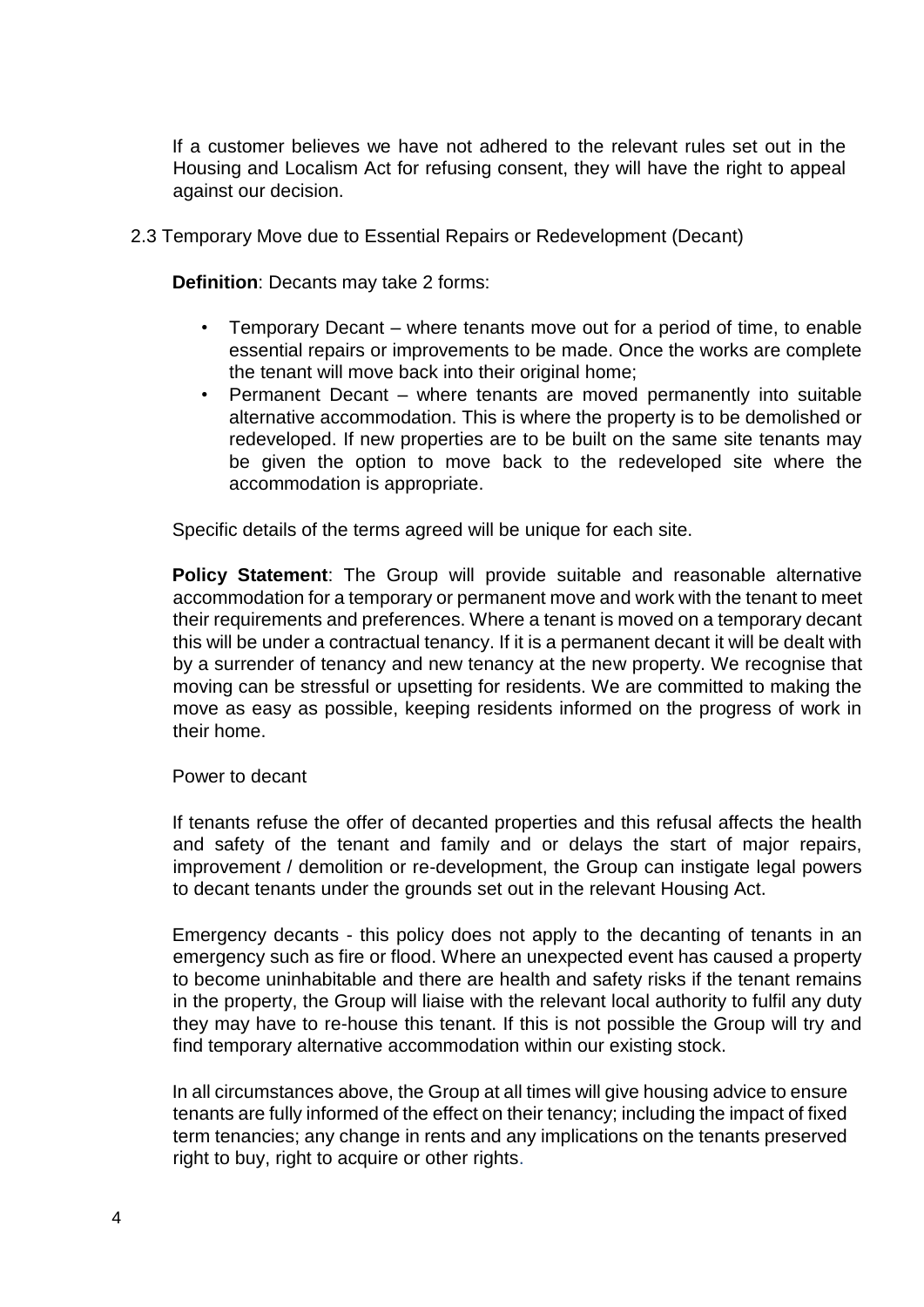If a customer believes we have not adhered to the relevant rules set out in the Housing and Localism Act for refusing consent, they will have the right to appeal against our decision.

2.3 Temporary Move due to Essential Repairs or Redevelopment (Decant)

**Definition**: Decants may take 2 forms:

- Temporary Decant where tenants move out for a period of time, to enable essential repairs or improvements to be made. Once the works are complete the tenant will move back into their original home;
- Permanent Decant where tenants are moved permanently into suitable alternative accommodation. This is where the property is to be demolished or redeveloped. If new properties are to be built on the same site tenants may be given the option to move back to the redeveloped site where the accommodation is appropriate.

Specific details of the terms agreed will be unique for each site.

**Policy Statement**: The Group will provide suitable and reasonable alternative accommodation for a temporary or permanent move and work with the tenant to meet their requirements and preferences. Where a tenant is moved on a temporary decant this will be under a contractual tenancy. If it is a permanent decant it will be dealt with by a surrender of tenancy and new tenancy at the new property. We recognise that moving can be stressful or upsetting for residents. We are committed to making the move as easy as possible, keeping residents informed on the progress of work in their home.

#### Power to decant

If tenants refuse the offer of decanted properties and this refusal affects the health and safety of the tenant and family and or delays the start of major repairs, improvement / demolition or re-development, the Group can instigate legal powers to decant tenants under the grounds set out in the relevant Housing Act.

Emergency decants - this policy does not apply to the decanting of tenants in an emergency such as fire or flood. Where an unexpected event has caused a property to become uninhabitable and there are health and safety risks if the tenant remains in the property, the Group will liaise with the relevant local authority to fulfil any duty they may have to re-house this tenant. If this is not possible the Group will try and find temporary alternative accommodation within our existing stock.

In all circumstances above, the Group at all times will give housing advice to ensure tenants are fully informed of the effect on their tenancy; including the impact of fixed term tenancies; any change in rents and any implications on the tenants preserved right to buy, right to acquire or other rights.